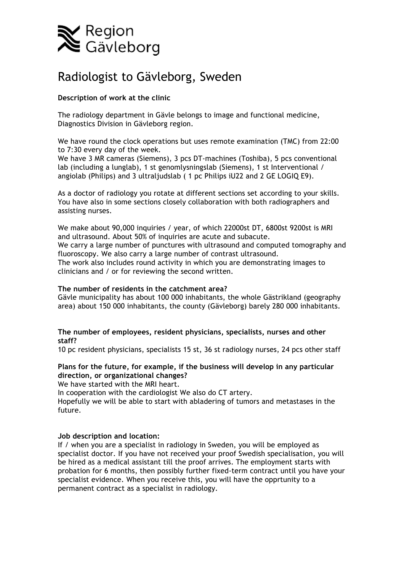

# Radiologist to Gävleborg, Sweden

# **Description of work at the clinic**

The radiology department in Gävle belongs to image and functional medicine, Diagnostics Division in Gävleborg region.

We have round the clock operations but uses remote examination (TMC) from 22:00 to 7:30 every day of the week.

We have 3 MR cameras (Siemens), 3 pcs DT-machines (Toshiba), 5 pcs conventional lab (including a lunglab), 1 st genomlysningslab (Siemens), 1 st Interventional / angiolab (Philips) and 3 ultraljudslab ( 1 pc Philips iU22 and 2 GE LOGIQ E9).

As a doctor of radiology you rotate at different sections set according to your skills. You have also in some sections closely collaboration with both radiographers and assisting nurses.

We make about 90,000 inquiries / year, of which 22000st DT, 6800st 9200st is MRI and ultrasound. About 50% of inquiries are acute and subacute. We carry a large number of punctures with ultrasound and computed tomography and fluoroscopy. We also carry a large number of contrast ultrasound. The work also includes round activity in which you are demonstrating images to clinicians and / or for reviewing the second written.

#### **The number of residents in the catchment area?**

Gävle municipality has about 100 000 inhabitants, the whole Gästrikland (geography area) about 150 000 inhabitants, the county (Gävleborg) barely 280 000 inhabitants.

# **The number of employees, resident physicians, specialists, nurses and other staff?**

10 pc resident physicians, specialists 15 st, 36 st radiology nurses, 24 pcs other staff

# **Plans for the future, for example, if the business will develop in any particular direction, or organizational changes?**

We have started with the MRI heart.

In cooperation with the cardiologist We also do CT artery.

Hopefully we will be able to start with abladering of tumors and metastases in the future.

# **Job description and location:**

If / when you are a specialist in radiology in Sweden, you will be employed as specialist doctor. If you have not received your proof Swedish specialisation, you will be hired as a medical assistant till the proof arrives. The employment starts with probation for 6 months, then possibly further fixed-term contract until you have your specialist evidence. When you receive this, you will have the opprtunity to a permanent contract as a specialist in radiology.